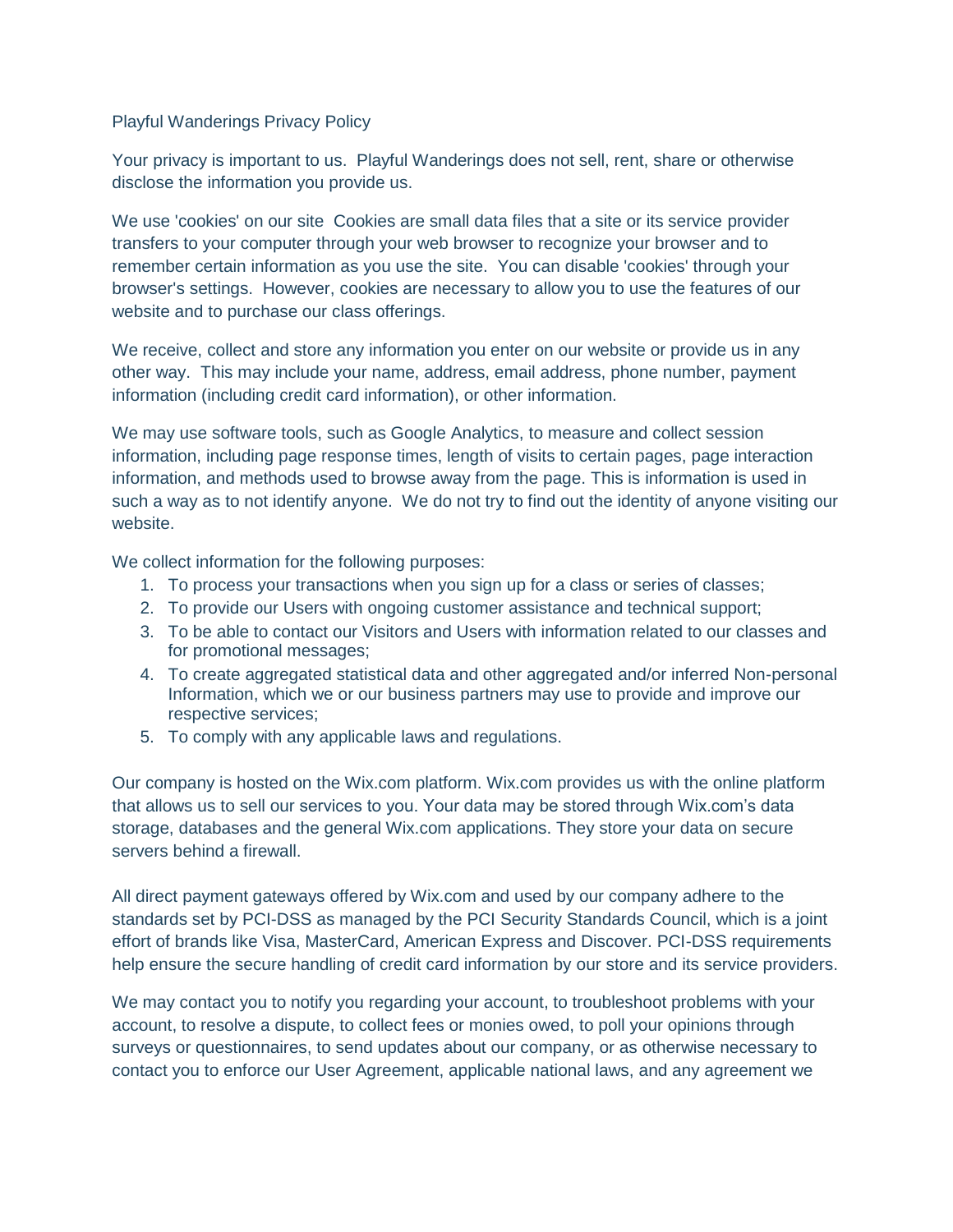## Playful Wanderings Privacy Policy

Your privacy is important to us. Playful Wanderings does not sell, rent, share or otherwise disclose the information you provide us.

We use 'cookies' on our site Cookies are small data files that a site or its service provider transfers to your computer through your web browser to recognize your browser and to remember certain information as you use the site. You can disable 'cookies' through your browser's settings. However, cookies are necessary to allow you to use the features of our website and to purchase our class offerings.

We receive, collect and store any information you enter on our website or provide us in any other way. This may include your name, address, email address, phone number, payment information (including credit card information), or other information.

We may use software tools, such as Google Analytics, to measure and collect session information, including page response times, length of visits to certain pages, page interaction information, and methods used to browse away from the page. This is information is used in such a way as to not identify anyone. We do not try to find out the identity of anyone visiting our website.

We collect information for the following purposes:

- 1. To process your transactions when you sign up for a class or series of classes;
- 2. To provide our Users with ongoing customer assistance and technical support;
- 3. To be able to contact our Visitors and Users with information related to our classes and for promotional messages;
- 4. To create aggregated statistical data and other aggregated and/or inferred Non-personal Information, which we or our business partners may use to provide and improve our respective services;
- 5. To comply with any applicable laws and regulations.

Our company is hosted on the Wix.com platform. Wix.com provides us with the online platform that allows us to sell our services to you. Your data may be stored through Wix.com's data storage, databases and the general Wix.com applications. They store your data on secure servers behind a firewall.

All direct payment gateways offered by Wix.com and used by our company adhere to the standards set by PCI-DSS as managed by the PCI Security Standards Council, which is a joint effort of brands like Visa, MasterCard, American Express and Discover. PCI-DSS requirements help ensure the secure handling of credit card information by our store and its service providers.

We may contact you to notify you regarding your account, to troubleshoot problems with your account, to resolve a dispute, to collect fees or monies owed, to poll your opinions through surveys or questionnaires, to send updates about our company, or as otherwise necessary to contact you to enforce our User Agreement, applicable national laws, and any agreement we